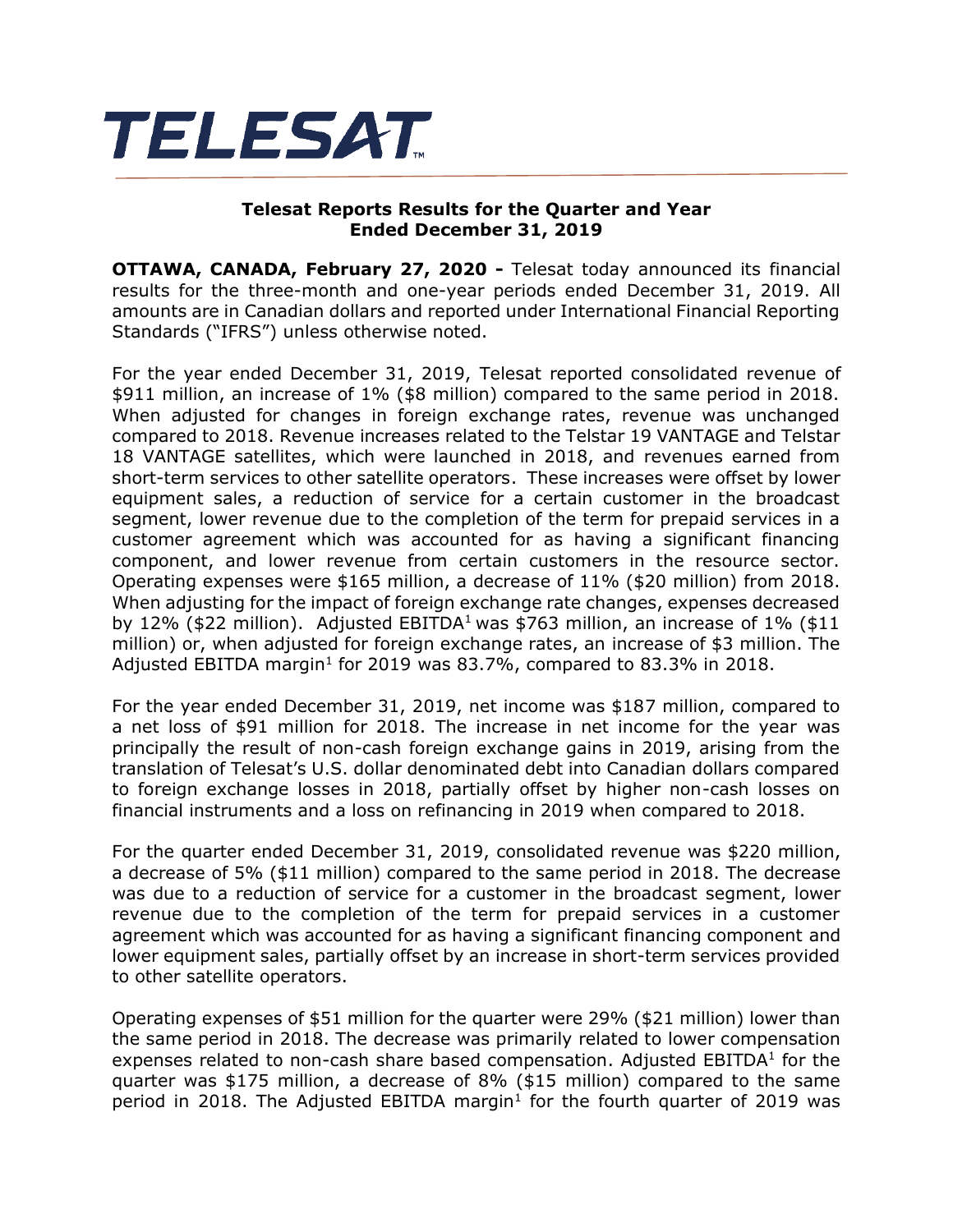

## **Telesat Reports Results for the Quarter and Year Ended December 31, 2019**

**OTTAWA, CANADA, February 27, 2020 -** Telesat today announced its financial results for the three-month and one-year periods ended December 31, 2019. All amounts are in Canadian dollars and reported under International Financial Reporting Standards ("IFRS") unless otherwise noted.

For the year ended December 31, 2019, Telesat reported consolidated revenue of \$911 million, an increase of 1% (\$8 million) compared to the same period in 2018. When adjusted for changes in foreign exchange rates, revenue was unchanged compared to 2018. Revenue increases related to the Telstar 19 VANTAGE and Telstar 18 VANTAGE satellites, which were launched in 2018, and revenues earned from short-term services to other satellite operators. These increases were offset by lower equipment sales, a reduction of service for a certain customer in the broadcast segment, lower revenue due to the completion of the term for prepaid services in a customer agreement which was accounted for as having a significant financing component, and lower revenue from certain customers in the resource sector. Operating expenses were \$165 million, a decrease of 11% (\$20 million) from 2018. When adjusting for the impact of foreign exchange rate changes, expenses decreased by 12% (\$22 million). Adjusted EBITDA<sup>1</sup> was \$763 million, an increase of 1% (\$11 million) or, when adjusted for foreign exchange rates, an increase of \$3 million. The Adjusted EBITDA margin<sup>1</sup> for 2019 was 83.7%, compared to 83.3% in 2018.

For the year ended December 31, 2019, net income was \$187 million, compared to a net loss of \$91 million for 2018. The increase in net income for the year was principally the result of non-cash foreign exchange gains in 2019, arising from the translation of Telesat's U.S. dollar denominated debt into Canadian dollars compared to foreign exchange losses in 2018, partially offset by higher non-cash losses on financial instruments and a loss on refinancing in 2019 when compared to 2018.

For the quarter ended December 31, 2019, consolidated revenue was \$220 million, a decrease of 5% (\$11 million) compared to the same period in 2018. The decrease was due to a reduction of service for a customer in the broadcast segment, lower revenue due to the completion of the term for prepaid services in a customer agreement which was accounted for as having a significant financing component and lower equipment sales, partially offset by an increase in short-term services provided to other satellite operators.

Operating expenses of \$51 million for the quarter were 29% (\$21 million) lower than the same period in 2018. The decrease was primarily related to lower compensation expenses related to non-cash share based compensation. Adjusted  $EBITDA<sup>1</sup>$  for the quarter was \$175 million, a decrease of 8% (\$15 million) compared to the same period in 2018. The Adjusted EBITDA margin<sup>1</sup> for the fourth quarter of 2019 was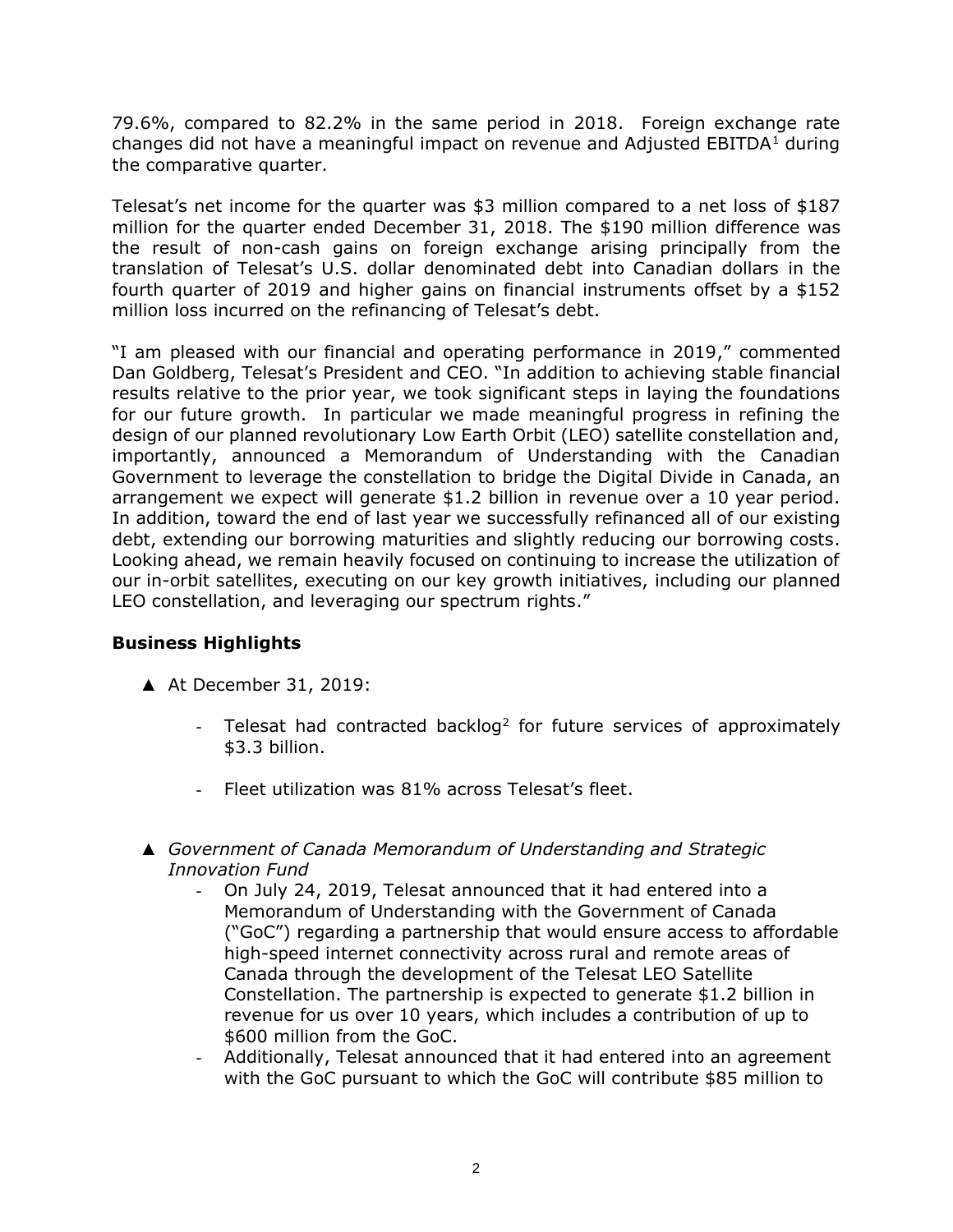79.6%, compared to 82.2% in the same period in 2018. Foreign exchange rate changes did not have a meaningful impact on revenue and Adjusted  $EBITDA<sup>1</sup>$  during the comparative quarter.

Telesat's net income for the quarter was \$3 million compared to a net loss of \$187 million for the quarter ended December 31, 2018. The \$190 million difference was the result of non-cash gains on foreign exchange arising principally from the translation of Telesat's U.S. dollar denominated debt into Canadian dollars in the fourth quarter of 2019 and higher gains on financial instruments offset by a \$152 million loss incurred on the refinancing of Telesat's debt.

"I am pleased with our financial and operating performance in 2019," commented Dan Goldberg, Telesat's President and CEO. "In addition to achieving stable financial results relative to the prior year, we took significant steps in laying the foundations for our future growth. In particular we made meaningful progress in refining the design of our planned revolutionary Low Earth Orbit (LEO) satellite constellation and, importantly, announced a Memorandum of Understanding with the Canadian Government to leverage the constellation to bridge the Digital Divide in Canada, an arrangement we expect will generate \$1.2 billion in revenue over a 10 year period. In addition, toward the end of last year we successfully refinanced all of our existing debt, extending our borrowing maturities and slightly reducing our borrowing costs. Looking ahead, we remain heavily focused on continuing to increase the utilization of our in-orbit satellites, executing on our key growth initiatives, including our planned LEO constellation, and leveraging our spectrum rights."

# **Business Highlights**

- ▲ At December 31, 2019:
	- Telesat had contracted backlog<sup>2</sup> for future services of approximately \$3.3 billion.
	- Fleet utilization was 81% across Telesat's fleet.
- ▲ *Government of Canada Memorandum of Understanding and Strategic Innovation Fund*
	- On July 24, 2019, Telesat announced that it had entered into a Memorandum of Understanding with the Government of Canada ("GoC") regarding a partnership that would ensure access to affordable high-speed internet connectivity across rural and remote areas of Canada through the development of the Telesat LEO Satellite Constellation. The partnership is expected to generate \$1.2 billion in revenue for us over 10 years, which includes a contribution of up to \$600 million from the GoC.
	- Additionally, Telesat announced that it had entered into an agreement with the GoC pursuant to which the GoC will contribute \$85 million to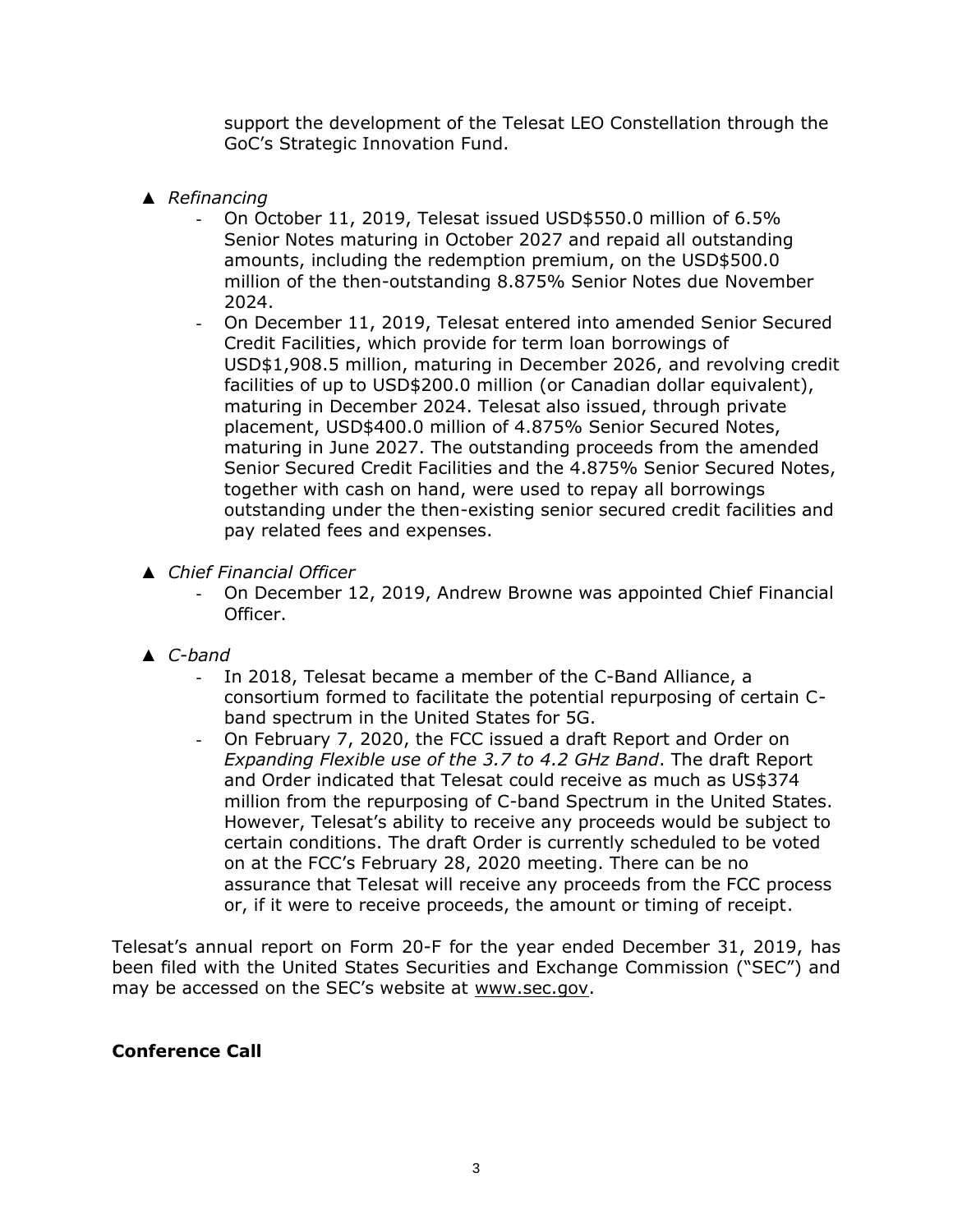support the development of the Telesat LEO Constellation through the GoC's Strategic Innovation Fund.

- ▲ *Refinancing*
	- On October 11, 2019, Telesat issued USD\$550.0 million of 6.5% Senior Notes maturing in October 2027 and repaid all outstanding amounts, including the redemption premium, on the USD\$500.0 million of the then-outstanding 8.875% Senior Notes due November 2024.
	- On December 11, 2019, Telesat entered into amended Senior Secured Credit Facilities, which provide for term loan borrowings of USD\$1,908.5 million, maturing in December 2026, and revolving credit facilities of up to USD\$200.0 million (or Canadian dollar equivalent), maturing in December 2024. Telesat also issued, through private placement, USD\$400.0 million of 4.875% Senior Secured Notes, maturing in June 2027. The outstanding proceeds from the amended Senior Secured Credit Facilities and the 4.875% Senior Secured Notes, together with cash on hand, were used to repay all borrowings outstanding under the then-existing senior secured credit facilities and pay related fees and expenses.
- ▲ *Chief Financial Officer*
	- On December 12, 2019, Andrew Browne was appointed Chief Financial Officer.
- ▲ *C-band*
	- In 2018, Telesat became a member of the C-Band Alliance, a consortium formed to facilitate the potential repurposing of certain Cband spectrum in the United States for 5G.
	- On February 7, 2020, the FCC issued a draft Report and Order on *Expanding Flexible use of the 3.7 to 4.2 GHz Band*. The draft Report and Order indicated that Telesat could receive as much as US\$374 million from the repurposing of C-band Spectrum in the United States. However, Telesat's ability to receive any proceeds would be subject to certain conditions. The draft Order is currently scheduled to be voted on at the FCC's February 28, 2020 meeting. There can be no assurance that Telesat will receive any proceeds from the FCC process or, if it were to receive proceeds, the amount or timing of receipt.

Telesat's annual report on Form 20-F for the year ended December 31, 2019, has been filed with the United States Securities and Exchange Commission ("SEC") and may be accessed on the SEC's website at [www.sec.gov.](http://www.sec.gov/)

# **Conference Call**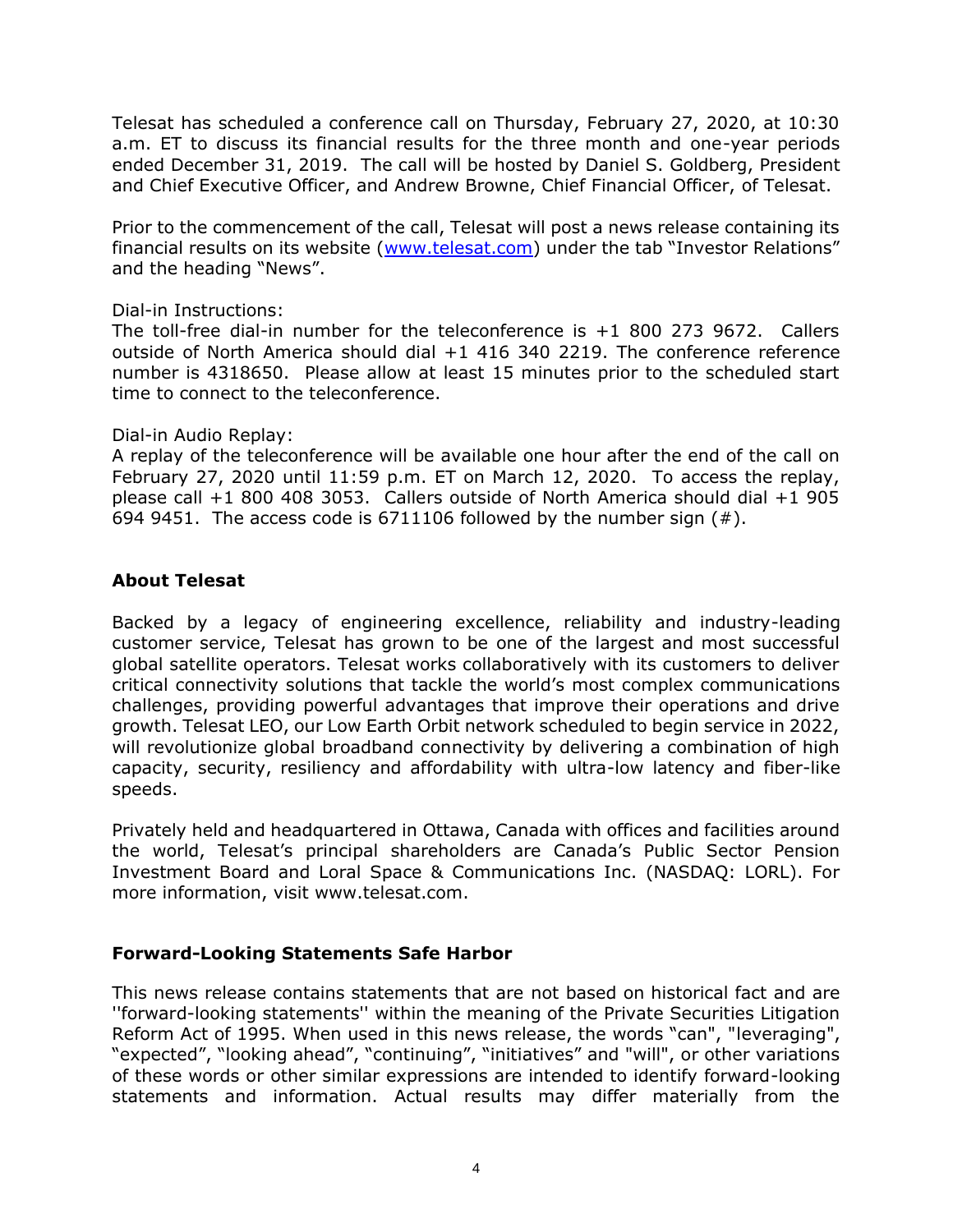Telesat has scheduled a conference call on Thursday, February 27, 2020, at 10:30 a.m. ET to discuss its financial results for the three month and one-year periods ended December 31, 2019. The call will be hosted by Daniel S. Goldberg, President and Chief Executive Officer, and Andrew Browne, Chief Financial Officer, of Telesat.

Prior to the commencement of the call, Telesat will post a news release containing its financial results on its website [\(www.telesat.com](http://www.telesat.com/)) under the tab "Investor Relations" and the heading "News".

## Dial-in Instructions:

The toll-free dial-in number for the teleconference is +1 800 273 9672. Callers outside of North America should dial +1 416 340 2219. The conference reference number is 4318650. Please allow at least 15 minutes prior to the scheduled start time to connect to the teleconference.

## Dial-in Audio Replay:

A replay of the teleconference will be available one hour after the end of the call on February 27, 2020 until 11:59 p.m. ET on March 12, 2020. To access the replay, please call +1 800 408 3053. Callers outside of North America should dial +1 905 694 9451. The access code is 6711106 followed by the number sign  $(\#)$ .

# **About Telesat**

Backed by a legacy of engineering excellence, reliability and industry-leading customer service, Telesat has grown to be one of the largest and most successful global satellite operators. Telesat works collaboratively with its customers to deliver critical connectivity solutions that tackle the world's most complex communications challenges, providing powerful advantages that improve their operations and drive growth. Telesat LEO, our Low Earth Orbit network scheduled to begin service in 2022, will revolutionize global broadband connectivity by delivering a combination of high capacity, security, resiliency and affordability with ultra-low latency and fiber-like speeds.

Privately held and headquartered in Ottawa, Canada with offices and facilities around the world, Telesat's principal shareholders are Canada's Public Sector Pension Investment Board and Loral Space & Communications Inc. (NASDAQ: LORL). For more information, visit www.telesat.com.

# **Forward-Looking Statements Safe Harbor**

This news release contains statements that are not based on historical fact and are ''forward-looking statements'' within the meaning of the Private Securities Litigation Reform Act of 1995. When used in this news release, the words "can", "leveraging", "expected", "looking ahead", "continuing", "initiatives" and "will", or other variations of these words or other similar expressions are intended to identify forward-looking statements and information. Actual results may differ materially from the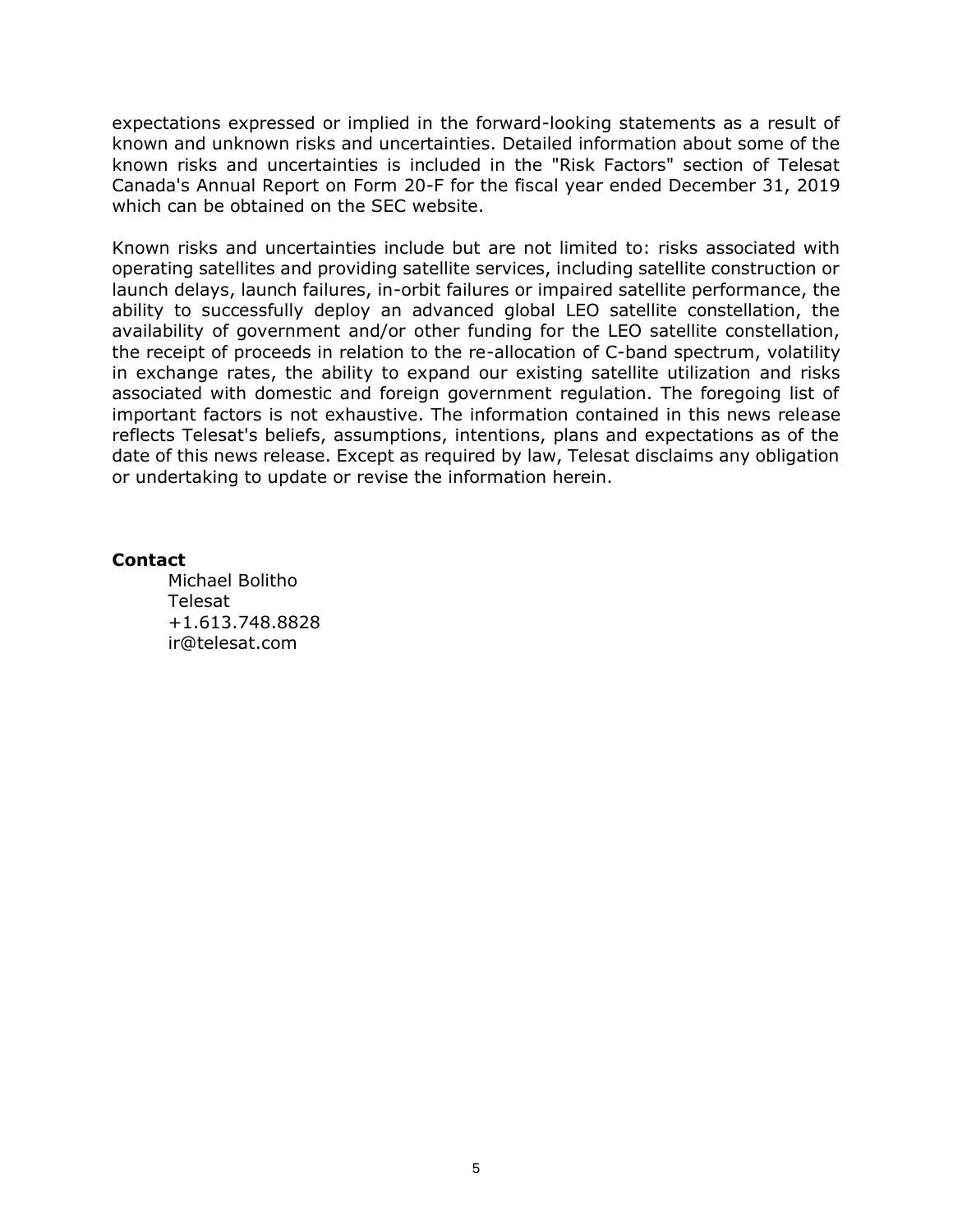expectations expressed or implied in the forward-looking statements as a result of known and unknown risks and uncertainties. Detailed information about some of the known risks and uncertainties is included in the "Risk Factors" section of Telesat Canada's Annual Report on Form 20-F for the fiscal year ended December 31, 2019 which can be obtained on the SEC website.

Known risks and uncertainties include but are not limited to: risks associated with operating satellites and providing satellite services, including satellite construction or launch delays, launch failures, in-orbit failures or impaired satellite performance, the ability to successfully deploy an advanced global LEO satellite constellation, the availability of government and/or other funding for the LEO satellite constellation, the receipt of proceeds in relation to the re-allocation of C-band spectrum, volatility in exchange rates, the ability to expand our existing satellite utilization and risks associated with domestic and foreign government regulation. The foregoing list of important factors is not exhaustive. The information contained in this news release reflects Telesat's beliefs, assumptions, intentions, plans and expectations as of the date of this news release. Except as required by law, Telesat disclaims any obligation or undertaking to update or revise the information herein.

#### **Contact**

Michael Bolitho Telesat +1.613.748.8828 ir@telesat.com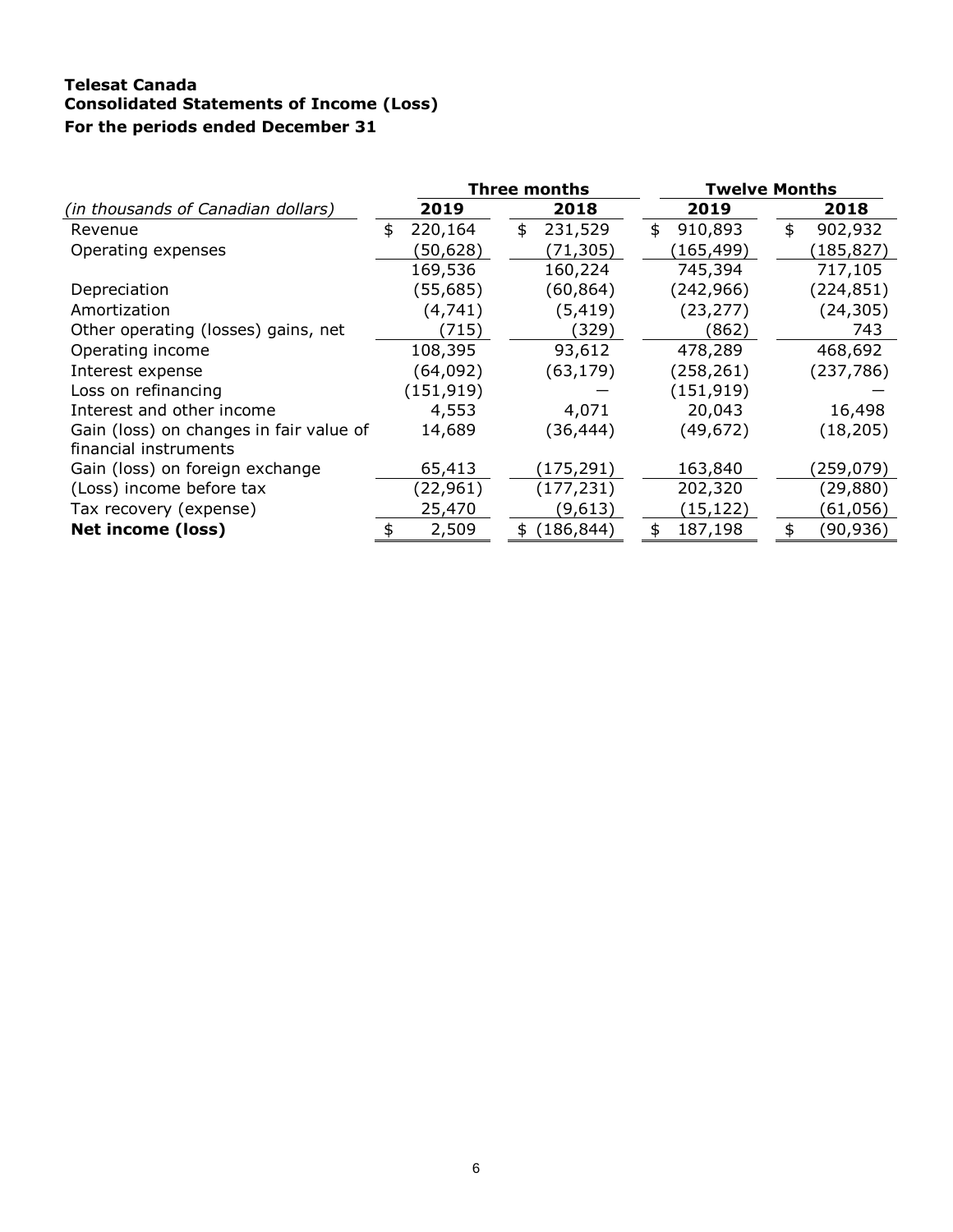## **Telesat Canada Consolidated Statements of Income (Loss) For the periods ended December 31**

|                                         |               | Three months    | <b>Twelve Months</b> |               |  |  |
|-----------------------------------------|---------------|-----------------|----------------------|---------------|--|--|
| (in thousands of Canadian dollars)      | 2019          | 2018            | 2019                 | 2018          |  |  |
| Revenue                                 | 220,164<br>\$ | 231,529<br>\$   | 910,893<br>\$        | \$<br>902,932 |  |  |
| Operating expenses                      | (50,628)      | (71,305)        | (165, 499)           | (185,827)     |  |  |
|                                         | 169,536       | 160,224         | 745,394              | 717,105       |  |  |
| Depreciation                            | (55,685)      | (60,864)        | (242, 966)           | (224, 851)    |  |  |
| Amortization                            | (4, 741)      | (5,419)         | (23, 277)            | (24, 305)     |  |  |
| Other operating (losses) gains, net     | (715)         | (329)           | (862)                | 743           |  |  |
| Operating income                        | 108,395       | 93,612          | 478,289              | 468,692       |  |  |
| Interest expense                        | (64,092)      | (63, 179)       | (258,261)            | (237, 786)    |  |  |
| Loss on refinancing                     | (151, 919)    |                 | (151, 919)           |               |  |  |
| Interest and other income               | 4,553         | 4,071           | 20,043               | 16,498        |  |  |
| Gain (loss) on changes in fair value of | 14,689        | (36, 444)       | (49, 672)            | (18, 205)     |  |  |
| financial instruments                   |               |                 |                      |               |  |  |
| Gain (loss) on foreign exchange         | 65,413        | (175,291)       | 163,840              | (259,079)     |  |  |
| (Loss) income before tax                | (22,961)      | (177, 231)      | 202,320              | (29, 880)     |  |  |
| Tax recovery (expense)                  | 25,470        | (9,613)         | (15, 122)            | (61,056)      |  |  |
| <b>Net income (loss)</b>                | 2,509         | (186, 844)<br>S | 187,198<br>\$        | (90, 936)     |  |  |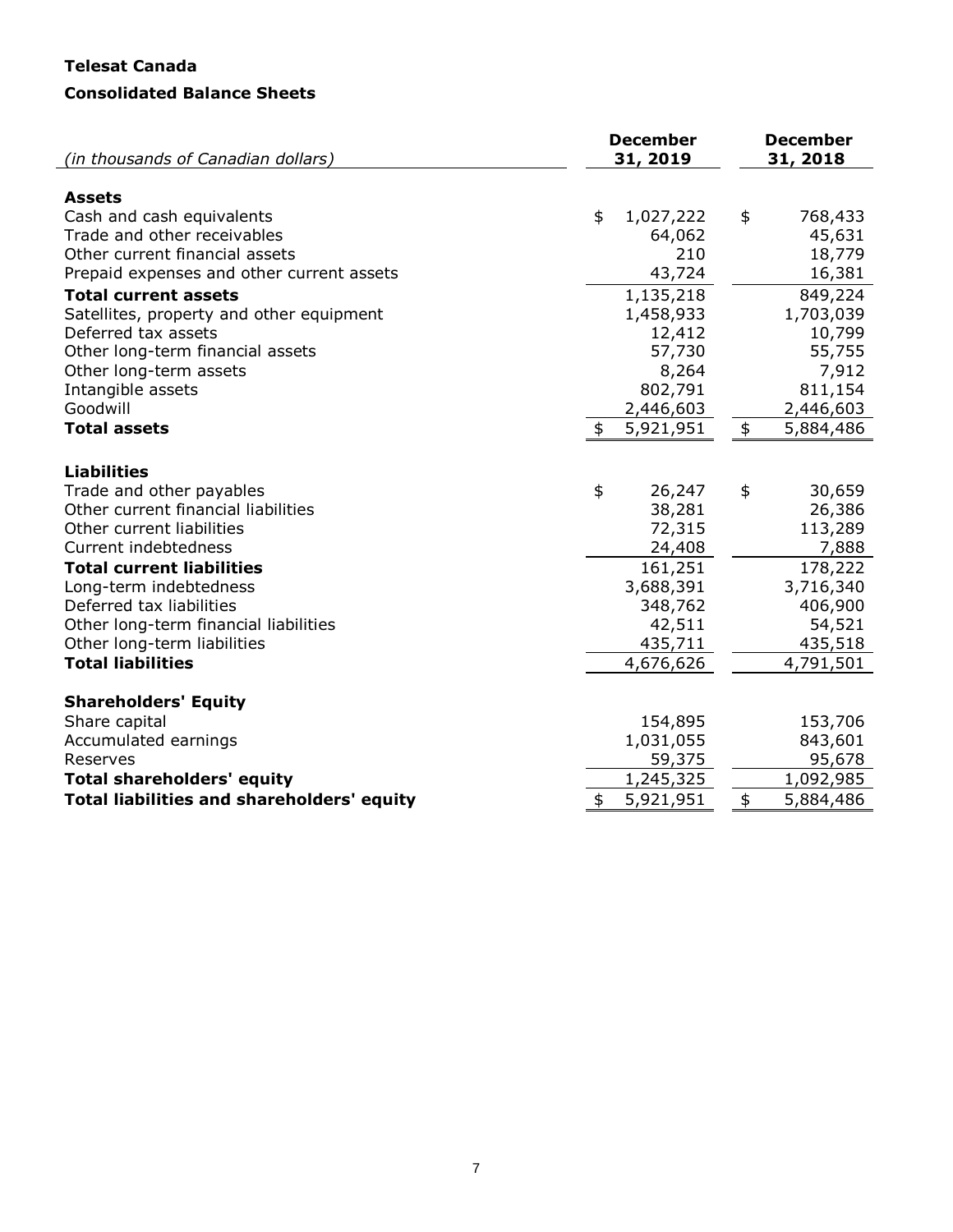# **Telesat Canada Consolidated Balance Sheets**

| (in thousands of Canadian dollars)                              | <b>December</b><br>31, 2019 | <b>December</b><br>31, 2018 |  |  |
|-----------------------------------------------------------------|-----------------------------|-----------------------------|--|--|
|                                                                 |                             |                             |  |  |
| <b>Assets</b><br>Cash and cash equivalents                      | \$                          |                             |  |  |
| Trade and other receivables                                     | 1,027,222<br>64,062         | \$<br>768,433<br>45,631     |  |  |
| Other current financial assets                                  | 210                         | 18,779                      |  |  |
| Prepaid expenses and other current assets                       | 43,724                      | 16,381                      |  |  |
| <b>Total current assets</b>                                     |                             |                             |  |  |
|                                                                 | 1,135,218                   | 849,224                     |  |  |
| Satellites, property and other equipment<br>Deferred tax assets | 1,458,933                   | 1,703,039                   |  |  |
| Other long-term financial assets                                | 12,412<br>57,730            | 10,799<br>55,755            |  |  |
| Other long-term assets                                          | 8,264                       | 7,912                       |  |  |
| Intangible assets                                               | 802,791                     | 811,154                     |  |  |
| Goodwill                                                        | 2,446,603                   | 2,446,603                   |  |  |
| <b>Total assets</b>                                             | 5,921,951<br>\$             | \$<br>5,884,486             |  |  |
|                                                                 |                             |                             |  |  |
|                                                                 |                             |                             |  |  |
| <b>Liabilities</b>                                              |                             |                             |  |  |
| Trade and other payables                                        | \$<br>26,247                | \$<br>30,659                |  |  |
| Other current financial liabilities                             | 38,281                      | 26,386                      |  |  |
| Other current liabilities                                       | 72,315                      | 113,289                     |  |  |
| Current indebtedness                                            | 24,408                      | 7,888                       |  |  |
| <b>Total current liabilities</b>                                | 161,251                     | 178,222                     |  |  |
| Long-term indebtedness                                          | 3,688,391                   | 3,716,340                   |  |  |
| Deferred tax liabilities                                        | 348,762                     | 406,900                     |  |  |
| Other long-term financial liabilities                           | 42,511                      | 54,521                      |  |  |
| Other long-term liabilities                                     | 435,711                     | 435,518                     |  |  |
| <b>Total liabilities</b>                                        | 4,676,626                   | 4,791,501                   |  |  |
| <b>Shareholders' Equity</b>                                     |                             |                             |  |  |
| Share capital                                                   | 154,895                     | 153,706                     |  |  |
| Accumulated earnings                                            | 1,031,055                   | 843,601                     |  |  |
| Reserves                                                        | 59,375                      | 95,678                      |  |  |
| <b>Total shareholders' equity</b>                               | 1,245,325                   | 1,092,985                   |  |  |
| <b>Total liabilities and shareholders' equity</b>               | \$<br>5,921,951             | \$<br>5,884,486             |  |  |
|                                                                 |                             |                             |  |  |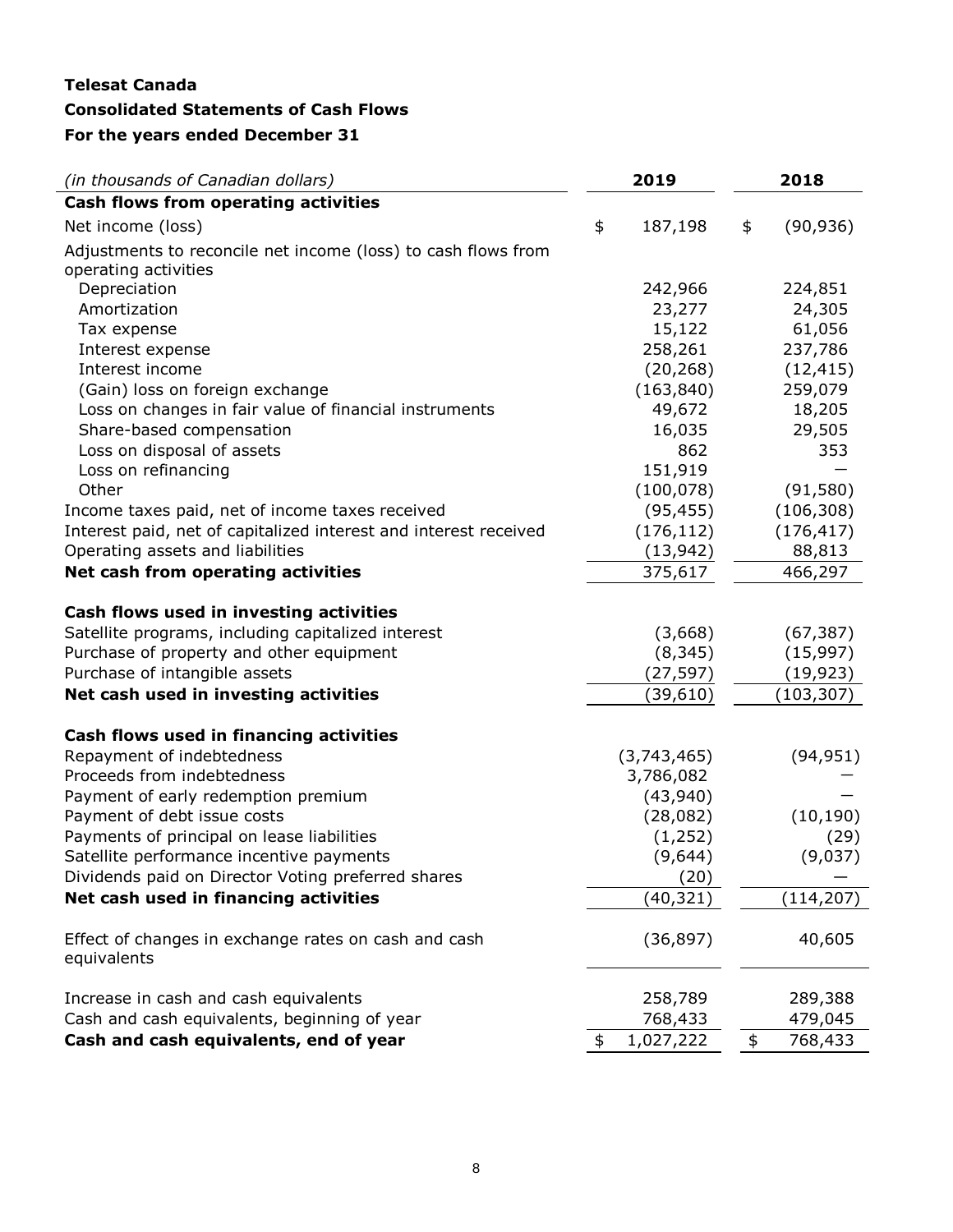# **Telesat Canada Consolidated Statements of Cash Flows For the years ended December 31**

| (in thousands of Canadian dollars)                                  |    | 2019        |            | 2018       |  |  |
|---------------------------------------------------------------------|----|-------------|------------|------------|--|--|
| Cash flows from operating activities                                |    |             |            |            |  |  |
| Net income (loss)                                                   | \$ | 187,198     | \$         | (90, 936)  |  |  |
| Adjustments to reconcile net income (loss) to cash flows from       |    |             |            |            |  |  |
| operating activities                                                |    |             |            |            |  |  |
| Depreciation                                                        |    | 242,966     |            | 224,851    |  |  |
| Amortization                                                        |    | 23,277      |            | 24,305     |  |  |
| Tax expense                                                         |    | 15,122      |            | 61,056     |  |  |
| Interest expense                                                    |    | 258,261     |            | 237,786    |  |  |
| Interest income                                                     |    | (20, 268)   |            | (12, 415)  |  |  |
| (Gain) loss on foreign exchange                                     |    | (163, 840)  |            | 259,079    |  |  |
| Loss on changes in fair value of financial instruments              |    | 49,672      |            | 18,205     |  |  |
| Share-based compensation                                            |    | 16,035      |            | 29,505     |  |  |
| Loss on disposal of assets                                          |    | 862         |            | 353        |  |  |
| Loss on refinancing                                                 |    | 151,919     |            |            |  |  |
| Other                                                               |    | (100, 078)  |            | (91, 580)  |  |  |
| Income taxes paid, net of income taxes received                     |    | (95, 455)   |            | (106, 308) |  |  |
| Interest paid, net of capitalized interest and interest received    |    | (176, 112)  |            | (176, 417) |  |  |
| Operating assets and liabilities                                    |    | (13, 942)   |            | 88,813     |  |  |
| Net cash from operating activities                                  |    | 375,617     |            | 466,297    |  |  |
| Cash flows used in investing activities                             |    |             |            |            |  |  |
| Satellite programs, including capitalized interest                  |    | (3,668)     |            | (67, 387)  |  |  |
| Purchase of property and other equipment                            |    | (8, 345)    |            | (15, 997)  |  |  |
| Purchase of intangible assets                                       |    | (27,597)    |            | (19, 923)  |  |  |
| Net cash used in investing activities                               |    | (39, 610)   | (103, 307) |            |  |  |
|                                                                     |    |             |            |            |  |  |
| Cash flows used in financing activities                             |    |             |            |            |  |  |
| Repayment of indebtedness                                           |    | (3,743,465) |            | (94, 951)  |  |  |
| Proceeds from indebtedness                                          |    | 3,786,082   |            |            |  |  |
| Payment of early redemption premium                                 |    | (43,940)    |            |            |  |  |
| Payment of debt issue costs                                         |    | (28,082)    |            | (10, 190)  |  |  |
| Payments of principal on lease liabilities                          |    | (1, 252)    |            | (29)       |  |  |
| Satellite performance incentive payments                            |    | (9,644)     |            | (9,037)    |  |  |
| Dividends paid on Director Voting preferred shares                  |    | (20)        |            |            |  |  |
| Net cash used in financing activities                               |    | (40, 321)   |            | (114, 207) |  |  |
| Effect of changes in exchange rates on cash and cash<br>equivalents |    | (36, 897)   |            | 40,605     |  |  |
|                                                                     |    |             |            |            |  |  |
| Increase in cash and cash equivalents                               |    | 258,789     |            | 289,388    |  |  |
| Cash and cash equivalents, beginning of year                        |    | 768,433     |            | 479,045    |  |  |
| Cash and cash equivalents, end of year                              | \$ | 1,027,222   | \$         | 768,433    |  |  |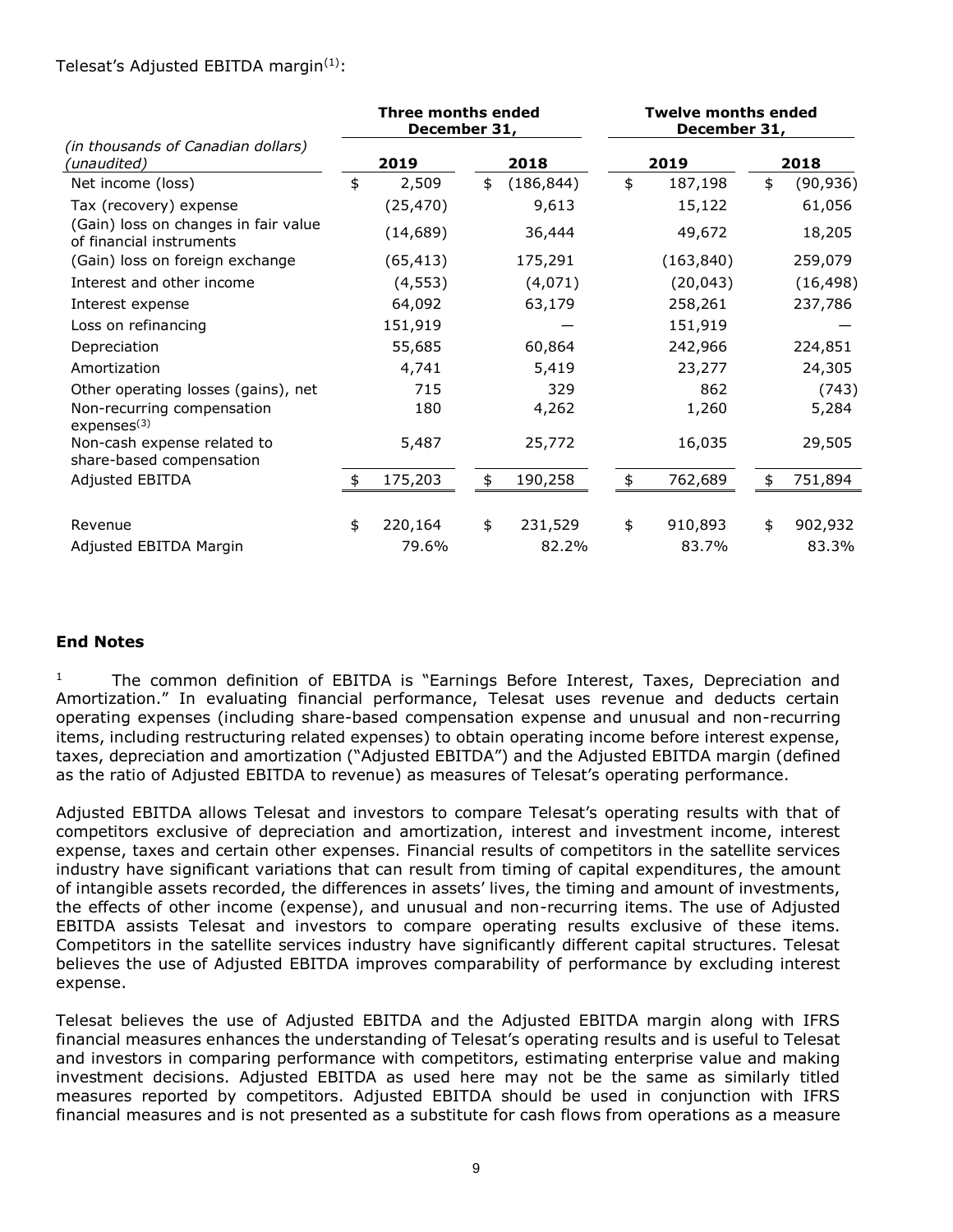#### Telesat's Adjusted EBITDA margin $(1)$ :

|                                                                  | <b>Three months ended</b><br>December 31, |           |      | <b>Twelve months ended</b><br>December 31, |      |            |      |           |
|------------------------------------------------------------------|-------------------------------------------|-----------|------|--------------------------------------------|------|------------|------|-----------|
| (in thousands of Canadian dollars)<br>(unaudited)                |                                           | 2019      | 2018 |                                            | 2019 |            | 2018 |           |
| Net income (loss)                                                | \$                                        | 2,509     | \$   | (186, 844)                                 | \$   | 187,198    | \$   | (90, 936) |
| Tax (recovery) expense                                           |                                           | (25, 470) |      | 9,613                                      |      | 15,122     |      | 61,056    |
| (Gain) loss on changes in fair value<br>of financial instruments |                                           | (14, 689) |      | 36,444                                     |      | 49,672     |      | 18,205    |
| (Gain) loss on foreign exchange                                  |                                           | (65, 413) |      | 175,291                                    |      | (163, 840) |      | 259,079   |
| Interest and other income                                        |                                           | (4, 553)  |      | (4,071)                                    |      | (20, 043)  |      | (16, 498) |
| Interest expense                                                 |                                           | 64,092    |      | 63,179                                     |      | 258,261    |      | 237,786   |
| Loss on refinancing                                              |                                           | 151,919   |      |                                            |      | 151,919    |      |           |
| Depreciation                                                     |                                           | 55,685    |      | 60,864                                     |      | 242,966    |      | 224,851   |
| Amortization                                                     |                                           | 4,741     |      | 5,419                                      |      | 23,277     |      | 24,305    |
| Other operating losses (gains), net                              |                                           | 715       |      | 329                                        |      | 862        |      | (743)     |
| Non-recurring compensation<br>expenses <sup>(3)</sup>            |                                           | 180       |      | 4,262                                      |      | 1,260      |      | 5,284     |
| Non-cash expense related to<br>share-based compensation          |                                           | 5,487     |      | 25,772                                     |      | 16,035     |      | 29,505    |
| Adjusted EBITDA                                                  | \$                                        | 175,203   | \$   | 190,258                                    | \$   | 762,689    | \$   | 751,894   |
| Revenue                                                          | \$                                        | 220,164   | \$   | 231,529                                    | \$   | 910,893    | \$   | 902,932   |
| Adjusted EBITDA Margin                                           |                                           | 79.6%     |      | 82.2%                                      |      | 83.7%      |      | 83.3%     |

## **End Notes**

<sup>1</sup> The common definition of EBITDA is "Earnings Before Interest, Taxes, Depreciation and Amortization." In evaluating financial performance, Telesat uses revenue and deducts certain operating expenses (including share-based compensation expense and unusual and non-recurring items, including restructuring related expenses) to obtain operating income before interest expense, taxes, depreciation and amortization ("Adjusted EBITDA") and the Adjusted EBITDA margin (defined as the ratio of Adjusted EBITDA to revenue) as measures of Telesat's operating performance.

Adjusted EBITDA allows Telesat and investors to compare Telesat's operating results with that of competitors exclusive of depreciation and amortization, interest and investment income, interest expense, taxes and certain other expenses. Financial results of competitors in the satellite services industry have significant variations that can result from timing of capital expenditures, the amount of intangible assets recorded, the differences in assets' lives, the timing and amount of investments, the effects of other income (expense), and unusual and non-recurring items. The use of Adjusted EBITDA assists Telesat and investors to compare operating results exclusive of these items. Competitors in the satellite services industry have significantly different capital structures. Telesat believes the use of Adjusted EBITDA improves comparability of performance by excluding interest expense.

Telesat believes the use of Adjusted EBITDA and the Adjusted EBITDA margin along with IFRS financial measures enhances the understanding of Telesat's operating results and is useful to Telesat and investors in comparing performance with competitors, estimating enterprise value and making investment decisions. Adjusted EBITDA as used here may not be the same as similarly titled measures reported by competitors. Adjusted EBITDA should be used in conjunction with IFRS financial measures and is not presented as a substitute for cash flows from operations as a measure